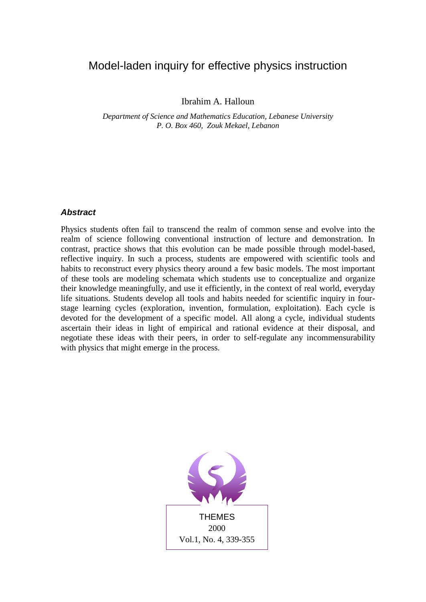# Model-laden inquiry for effective physics instruction

Ibrahim A. Halloun

*Department of Science and Mathematics Education, Lebanese University P. O. Box 460, Zouk Mekael, Lebanon*

## *Abstract*

Physics students often fail to transcend the realm of common sense and evolve into the realm of science following conventional instruction of lecture and demonstration. In contrast, practice shows that this evolution can be made possible through model-based, reflective inquiry. In such a process, students are empowered with scientific tools and habits to reconstruct every physics theory around a few basic models. The most important of these tools are modeling schemata which students use to conceptualize and organize their knowledge meaningfully, and use it efficiently, in the context of real world, everyday life situations. Students develop all tools and habits needed for scientific inquiry in fourstage learning cycles (exploration, invention, formulation, exploitation). Each cycle is devoted for the development of a specific model. All along a cycle, individual students ascertain their ideas in light of empirical and rational evidence at their disposal, and negotiate these ideas with their peers, in order to self-regulate any incommensurability with physics that might emerge in the process.

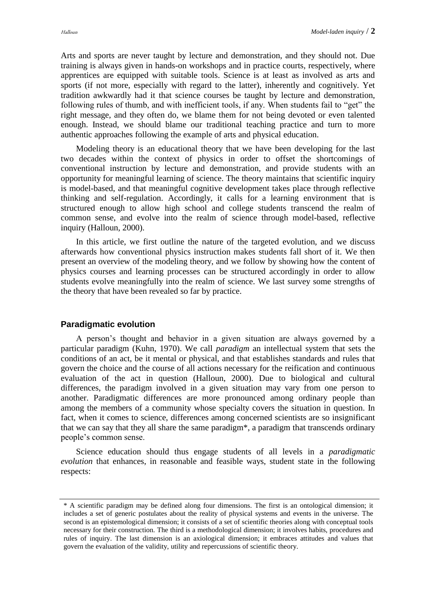Arts and sports are never taught by lecture and demonstration, and they should not. Due training is always given in hands-on workshops and in practice courts, respectively, where apprentices are equipped with suitable tools. Science is at least as involved as arts and sports (if not more, especially with regard to the latter), inherently and cognitively. Yet tradition awkwardly had it that science courses be taught by lecture and demonstration, following rules of thumb, and with inefficient tools, if any. When students fail to "get" the right message, and they often do, we blame them for not being devoted or even talented enough. Instead, we should blame our traditional teaching practice and turn to more authentic approaches following the example of arts and physical education.

Modeling theory is an educational theory that we have been developing for the last two decades within the context of physics in order to offset the shortcomings of conventional instruction by lecture and demonstration, and provide students with an opportunity for meaningful learning of science. The theory maintains that scientific inquiry is model-based, and that meaningful cognitive development takes place through reflective thinking and self-regulation. Accordingly, it calls for a learning environment that is structured enough to allow high school and college students transcend the realm of common sense, and evolve into the realm of science through model-based, reflective inquiry (Halloun, 2000).

In this article, we first outline the nature of the targeted evolution, and we discuss afterwards how conventional physics instruction makes students fall short of it. We then present an overview of the modeling theory, and we follow by showing how the content of physics courses and learning processes can be structured accordingly in order to allow students evolve meaningfully into the realm of science. We last survey some strengths of the theory that have been revealed so far by practice.

#### **Paradigmatic evolution**

A person's thought and behavior in a given situation are always governed by a particular paradigm (Kuhn, 1970). We call *paradigm* an intellectual system that sets the conditions of an act, be it mental or physical, and that establishes standards and rules that govern the choice and the course of all actions necessary for the reification and continuous evaluation of the act in question (Halloun, 2000). Due to biological and cultural differences, the paradigm involved in a given situation may vary from one person to another. Paradigmatic differences are more pronounced among ordinary people than among the members of a community whose specialty covers the situation in question. In fact, when it comes to science, differences among concerned scientists are so insignificant that we can say that they all share the same paradigm\*, a paradigm that transcends ordinary people's common sense.

Science education should thus engage students of all levels in a *paradigmatic evolution* that enhances, in reasonable and feasible ways, student state in the following respects:

<sup>\*</sup> A scientific paradigm may be defined along four dimensions. The first is an ontological dimension; it includes a set of generic postulates about the reality of physical systems and events in the universe. The second is an epistemological dimension; it consists of a set of scientific theories along with conceptual tools necessary for their construction. The third is a methodological dimension; it involves habits, procedures and rules of inquiry. The last dimension is an axiological dimension; it embraces attitudes and values that govern the evaluation of the validity, utility and repercussions of scientific theory.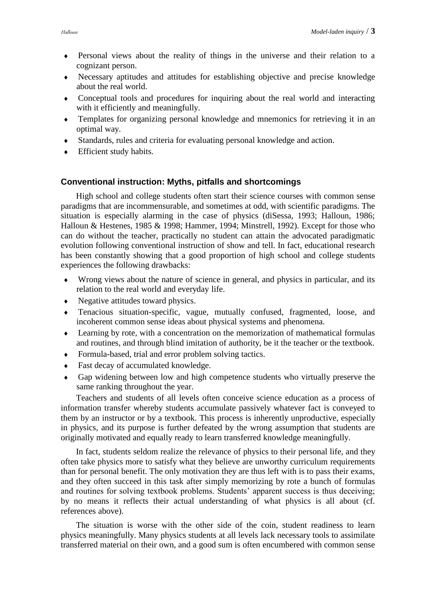- Personal views about the reality of things in the universe and their relation to a cognizant person.
- Necessary aptitudes and attitudes for establishing objective and precise knowledge about the real world.
- Conceptual tools and procedures for inquiring about the real world and interacting with it efficiently and meaningfully.
- Templates for organizing personal knowledge and mnemonics for retrieving it in an optimal way.
- Standards, rules and criteria for evaluating personal knowledge and action.
- Efficient study habits.

## **Conventional instruction: Myths, pitfalls and shortcomings**

High school and college students often start their science courses with common sense paradigms that are incommensurable, and sometimes at odd, with scientific paradigms. The situation is especially alarming in the case of physics (diSessa, 1993; Halloun, 1986; Halloun & Hestenes, 1985 & 1998; Hammer, 1994; Minstrell, 1992). Except for those who can do without the teacher, practically no student can attain the advocated paradigmatic evolution following conventional instruction of show and tell. In fact, educational research has been constantly showing that a good proportion of high school and college students experiences the following drawbacks:

- Wrong views about the nature of science in general, and physics in particular, and its relation to the real world and everyday life.
- Negative attitudes toward physics.
- Tenacious situation-specific, vague, mutually confused, fragmented, loose, and incoherent common sense ideas about physical systems and phenomena.
- Learning by rote, with a concentration on the memorization of mathematical formulas and routines, and through blind imitation of authority, be it the teacher or the textbook.
- Formula-based, trial and error problem solving tactics.
- Fast decay of accumulated knowledge.
- Gap widening between low and high competence students who virtually preserve the same ranking throughout the year.

Teachers and students of all levels often conceive science education as a process of information transfer whereby students accumulate passively whatever fact is conveyed to them by an instructor or by a textbook. This process is inherently unproductive, especially in physics, and its purpose is further defeated by the wrong assumption that students are originally motivated and equally ready to learn transferred knowledge meaningfully.

In fact, students seldom realize the relevance of physics to their personal life, and they often take physics more to satisfy what they believe are unworthy curriculum requirements than for personal benefit. The only motivation they are thus left with is to pass their exams, and they often succeed in this task after simply memorizing by rote a bunch of formulas and routines for solving textbook problems. Students' apparent success is thus deceiving; by no means it reflects their actual understanding of what physics is all about (cf. references above).

The situation is worse with the other side of the coin, student readiness to learn physics meaningfully. Many physics students at all levels lack necessary tools to assimilate transferred material on their own, and a good sum is often encumbered with common sense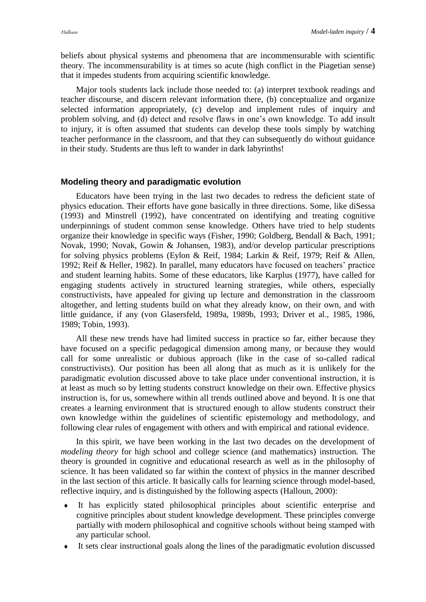beliefs about physical systems and phenomena that are incommensurable with scientific theory. The incommensurability is at times so acute (high conflict in the Piagetian sense) that it impedes students from acquiring scientific knowledge.

Major tools students lack include those needed to: (a) interpret textbook readings and teacher discourse, and discern relevant information there, (b) conceptualize and organize selected information appropriately, (c) develop and implement rules of inquiry and problem solving, and (d) detect and resolve flaws in one's own knowledge. To add insult to injury, it is often assumed that students can develop these tools simply by watching teacher performance in the classroom, and that they can subsequently do without guidance in their study. Students are thus left to wander in dark labyrinths!

#### **Modeling theory and paradigmatic evolution**

Educators have been trying in the last two decades to redress the deficient state of physics education. Their efforts have gone basically in three directions. Some, like diSessa (1993) and Minstrell (1992), have concentrated on identifying and treating cognitive underpinnings of student common sense knowledge. Others have tried to help students organize their knowledge in specific ways (Fisher, 1990; Goldberg, Bendall & Bach, 1991; Novak, 1990; Novak, Gowin & Johansen, 1983), and/or develop particular prescriptions for solving physics problems (Eylon & Reif, 1984; Larkin & Reif, 1979; Reif & Allen, 1992; Reif & Heller, 1982). In parallel, many educators have focused on teachers' practice and student learning habits. Some of these educators, like Karplus (1977), have called for engaging students actively in structured learning strategies, while others, especially constructivists, have appealed for giving up lecture and demonstration in the classroom altogether, and letting students build on what they already know, on their own, and with little guidance, if any (von Glasersfeld, 1989a, 1989b, 1993; Driver et al., 1985, 1986, 1989; Tobin, 1993).

All these new trends have had limited success in practice so far, either because they have focused on a specific pedagogical dimension among many, or because they would call for some unrealistic or dubious approach (like in the case of so-called radical constructivists). Our position has been all along that as much as it is unlikely for the paradigmatic evolution discussed above to take place under conventional instruction, it is at least as much so by letting students construct knowledge on their own. Effective physics instruction is, for us, somewhere within all trends outlined above and beyond. It is one that creates a learning environment that is structured enough to allow students construct their own knowledge within the guidelines of scientific epistemology and methodology, and following clear rules of engagement with others and with empirical and rational evidence.

In this spirit, we have been working in the last two decades on the development of *modeling theory* for high school and college science (and mathematics) instruction*.* The theory is grounded in cognitive and educational research as well as in the philosophy of science. It has been validated so far within the context of physics in the manner described in the last section of this article. It basically calls for learning science through model-based, reflective inquiry, and is distinguished by the following aspects (Halloun, 2000):

- It has explicitly stated philosophical principles about scientific enterprise and cognitive principles about student knowledge development. These principles converge partially with modern philosophical and cognitive schools without being stamped with any particular school.
- It sets clear instructional goals along the lines of the paradigmatic evolution discussed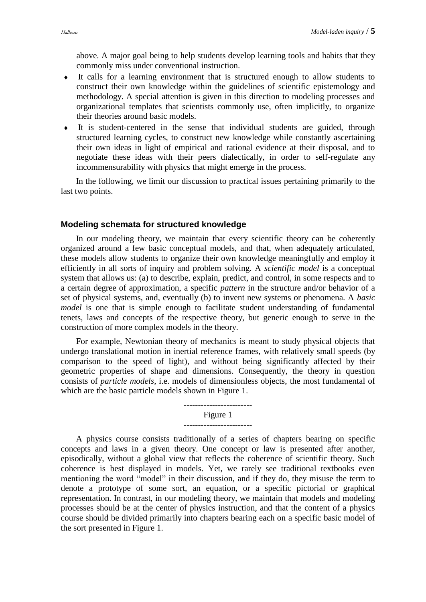above. A major goal being to help students develop learning tools and habits that they commonly miss under conventional instruction.

- It calls for a learning environment that is structured enough to allow students to construct their own knowledge within the guidelines of scientific epistemology and methodology. A special attention is given in this direction to modeling processes and organizational templates that scientists commonly use, often implicitly, to organize their theories around basic models.
- It is student-centered in the sense that individual students are guided, through structured learning cycles, to construct new knowledge while constantly ascertaining their own ideas in light of empirical and rational evidence at their disposal, and to negotiate these ideas with their peers dialectically, in order to self-regulate any incommensurability with physics that might emerge in the process.

In the following, we limit our discussion to practical issues pertaining primarily to the last two points.

#### **Modeling schemata for structured knowledge**

In our modeling theory, we maintain that every scientific theory can be coherently organized around a few basic conceptual models, and that, when adequately articulated, these models allow students to organize their own knowledge meaningfully and employ it efficiently in all sorts of inquiry and problem solving. A *scientific model* is a conceptual system that allows us: (a) to describe, explain, predict, and control, in some respects and to a certain degree of approximation, a specific *pattern* in the structure and/or behavior of a set of physical systems, and, eventually (b) to invent new systems or phenomena. A *basic model* is one that is simple enough to facilitate student understanding of fundamental tenets, laws and concepts of the respective theory, but generic enough to serve in the construction of more complex models in the theory.

For example, Newtonian theory of mechanics is meant to study physical objects that undergo translational motion in inertial reference frames, with relatively small speeds (by comparison to the speed of light), and without being significantly affected by their geometric properties of shape and dimensions. Consequently, the theory in question consists of *particle models*, i.e. models of dimensionless objects, the most fundamental of which are the basic particle models shown in Figure 1.

> ------------------------ Figure 1 ------------------------

A physics course consists traditionally of a series of chapters bearing on specific concepts and laws in a given theory. One concept or law is presented after another, episodically, without a global view that reflects the coherence of scientific theory. Such coherence is best displayed in models. Yet, we rarely see traditional textbooks even mentioning the word "model" in their discussion, and if they do, they misuse the term to denote a prototype of some sort, an equation, or a specific pictorial or graphical representation. In contrast, in our modeling theory, we maintain that models and modeling processes should be at the center of physics instruction, and that the content of a physics course should be divided primarily into chapters bearing each on a specific basic model of the sort presented in Figure 1.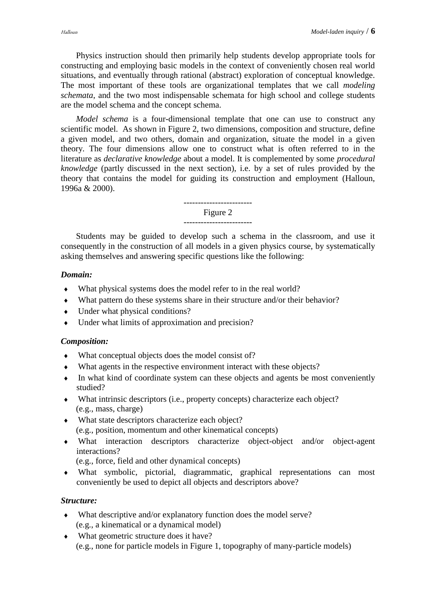Physics instruction should then primarily help students develop appropriate tools for constructing and employing basic models in the context of conveniently chosen real world situations, and eventually through rational (abstract) exploration of conceptual knowledge. The most important of these tools are organizational templates that we call *modeling schemata*, and the two most indispensable schemata for high school and college students are the model schema and the concept schema.

*Model schema* is a four-dimensional template that one can use to construct any scientific model. As shown in Figure 2, two dimensions, composition and structure, define a given model, and two others, domain and organization, situate the model in a given theory. The four dimensions allow one to construct what is often referred to in the literature as *declarative knowledge* about a model. It is complemented by some *procedural knowledge* (partly discussed in the next section), i.e. by a set of rules provided by the theory that contains the model for guiding its construction and employment (Halloun, 1996a & 2000).

> ------------------------ Figure 2 ------------------------

Students may be guided to develop such a schema in the classroom, and use it consequently in the construction of all models in a given physics course, by systematically asking themselves and answering specific questions like the following:

## *Domain:*

- What physical systems does the model refer to in the real world?
- What pattern do these systems share in their structure and/or their behavior?
- Under what physical conditions?
- Under what limits of approximation and precision?

#### *Composition:*

- What conceptual objects does the model consist of?
- What agents in the respective environment interact with these objects?
- In what kind of coordinate system can these objects and agents be most conveniently studied?
- What intrinsic descriptors (i.e., property concepts) characterize each object? (e.g., mass, charge)
- What state descriptors characterize each object? (e.g., position, momentum and other kinematical concepts)
- What interaction descriptors characterize object-object and/or object-agent interactions?

(e.g., force, field and other dynamical concepts)

 What symbolic, pictorial, diagrammatic, graphical representations can most conveniently be used to depict all objects and descriptors above?

#### *Structure:*

- What descriptive and/or explanatory function does the model serve? (e.g., a kinematical or a dynamical model)
- What geometric structure does it have? (e.g., none for particle models in Figure 1, topography of many-particle models)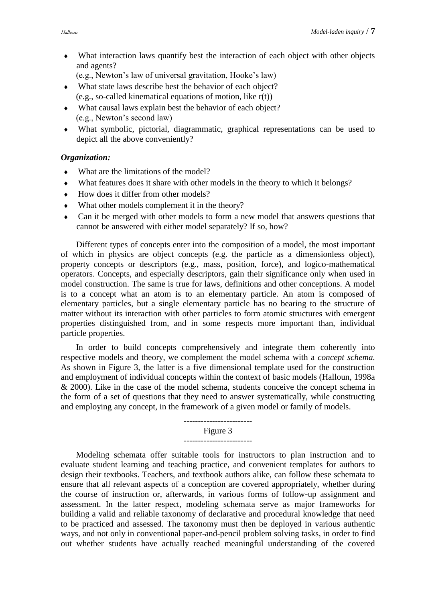- 
- What interaction laws quantify best the interaction of each object with other objects and agents?

(e.g., Newton's law of universal gravitation, Hooke's law)

- What state laws describe best the behavior of each object? (e.g., so-called kinematical equations of motion, like r(t))
- What causal laws explain best the behavior of each object? (e.g., Newton's second law)
- What symbolic, pictorial, diagrammatic, graphical representations can be used to depict all the above conveniently?

## *Organization:*

- What are the limitations of the model?
- What features does it share with other models in the theory to which it belongs?
- $\leftrightarrow$  How does it differ from other models?
- What other models complement it in the theory?
- Can it be merged with other models to form a new model that answers questions that cannot be answered with either model separately? If so, how?

Different types of concepts enter into the composition of a model, the most important of which in physics are object concepts (e.g. the particle as a dimensionless object), property concepts or descriptors (e.g., mass, position, force), and logico-mathematical operators. Concepts, and especially descriptors, gain their significance only when used in model construction. The same is true for laws, definitions and other conceptions. A model is to a concept what an atom is to an elementary particle. An atom is composed of elementary particles, but a single elementary particle has no bearing to the structure of matter without its interaction with other particles to form atomic structures with emergent properties distinguished from, and in some respects more important than, individual particle properties.

In order to build concepts comprehensively and integrate them coherently into respective models and theory, we complement the model schema with a *concept schema.* As shown in Figure 3, the latter is a five dimensional template used for the construction and employment of individual concepts within the context of basic models (Halloun, 1998a & 2000). Like in the case of the model schema, students conceive the concept schema in the form of a set of questions that they need to answer systematically, while constructing and employing any concept, in the framework of a given model or family of models.

## ------------------------ Figure 3

Modeling schemata offer suitable tools for instructors to plan instruction and to evaluate student learning and teaching practice, and convenient templates for authors to design their textbooks. Teachers, and textbook authors alike, can follow these schemata to ensure that all relevant aspects of a conception are covered appropriately, whether during the course of instruction or, afterwards, in various forms of follow-up assignment and assessment. In the latter respect, modeling schemata serve as major frameworks for building a valid and reliable taxonomy of declarative and procedural knowledge that need to be practiced and assessed. The taxonomy must then be deployed in various authentic ways, and not only in conventional paper-and-pencil problem solving tasks, in order to find out whether students have actually reached meaningful understanding of the covered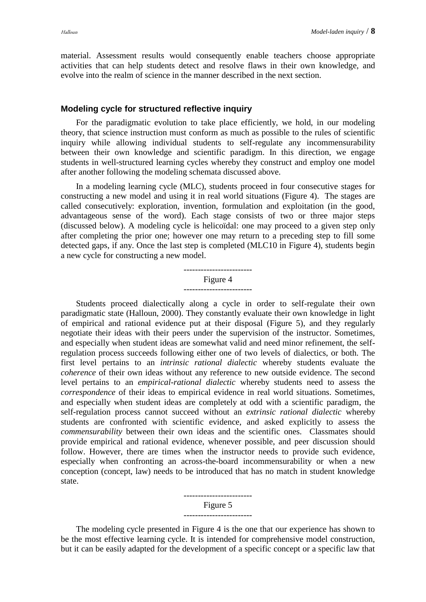material. Assessment results would consequently enable teachers choose appropriate activities that can help students detect and resolve flaws in their own knowledge, and evolve into the realm of science in the manner described in the next section.

#### **Modeling cycle for structured reflective inquiry**

For the paradigmatic evolution to take place efficiently, we hold, in our modeling theory, that science instruction must conform as much as possible to the rules of scientific inquiry while allowing individual students to self-regulate any incommensurability between their own knowledge and scientific paradigm. In this direction, we engage students in well-structured learning cycles whereby they construct and employ one model after another following the modeling schemata discussed above.

In a modeling learning cycle (MLC), students proceed in four consecutive stages for constructing a new model and using it in real world situations (Figure 4). The stages are called consecutively: exploration, invention, formulation and exploitation (in the good, advantageous sense of the word). Each stage consists of two or three major steps (discussed below). A modeling cycle is helicoïdal: one may proceed to a given step only after completing the prior one; however one may return to a preceding step to fill some detected gaps, if any. Once the last step is completed (MLC10 in Figure 4), students begin a new cycle for constructing a new model.

> ------------------------ Figure 4 ------------------------

Students proceed dialectically along a cycle in order to self-regulate their own paradigmatic state (Halloun, 2000). They constantly evaluate their own knowledge in light of empirical and rational evidence put at their disposal (Figure 5), and they regularly negotiate their ideas with their peers under the supervision of the instructor. Sometimes, and especially when student ideas are somewhat valid and need minor refinement, the selfregulation process succeeds following either one of two levels of dialectics, or both. The first level pertains to an *intrinsic rational dialectic* whereby students evaluate the *coherence* of their own ideas without any reference to new outside evidence. The second level pertains to an *empirical-rational dialectic* whereby students need to assess the *correspondence* of their ideas to empirical evidence in real world situations. Sometimes, and especially when student ideas are completely at odd with a scientific paradigm, the self-regulation process cannot succeed without an *extrinsic rational dialectic* whereby students are confronted with scientific evidence, and asked explicitly to assess the *commensurability* between their own ideas and the scientific ones. Classmates should provide empirical and rational evidence, whenever possible, and peer discussion should follow. However, there are times when the instructor needs to provide such evidence, especially when confronting an across-the-board incommensurability or when a new conception (concept, law) needs to be introduced that has no match in student knowledge state.

#### ------------------------ Figure 5

The modeling cycle presented in Figure 4 is the one that our experience has shown to be the most effective learning cycle. It is intended for comprehensive model construction, but it can be easily adapted for the development of a specific concept or a specific law that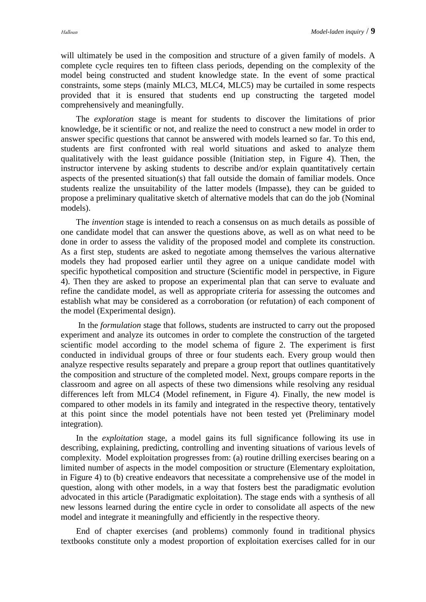will ultimately be used in the composition and structure of a given family of models. A complete cycle requires ten to fifteen class periods, depending on the complexity of the model being constructed and student knowledge state. In the event of some practical constraints, some steps (mainly MLC3, MLC4, MLC5) may be curtailed in some respects provided that it is ensured that students end up constructing the targeted model comprehensively and meaningfully.

The *exploration* stage is meant for students to discover the limitations of prior knowledge, be it scientific or not, and realize the need to construct a new model in order to answer specific questions that cannot be answered with models learned so far. To this end, students are first confronted with real world situations and asked to analyze them qualitatively with the least guidance possible (Initiation step, in Figure 4). Then, the instructor intervene by asking students to describe and/or explain quantitatively certain aspects of the presented situation(s) that fall outside the domain of familiar models. Once students realize the unsuitability of the latter models (Impasse), they can be guided to propose a preliminary qualitative sketch of alternative models that can do the job (Nominal models).

The *invention* stage is intended to reach a consensus on as much details as possible of one candidate model that can answer the questions above, as well as on what need to be done in order to assess the validity of the proposed model and complete its construction. As a first step, students are asked to negotiate among themselves the various alternative models they had proposed earlier until they agree on a unique candidate model with specific hypothetical composition and structure (Scientific model in perspective, in Figure 4). Then they are asked to propose an experimental plan that can serve to evaluate and refine the candidate model, as well as appropriate criteria for assessing the outcomes and establish what may be considered as a corroboration (or refutation) of each component of the model (Experimental design).

In the *formulation* stage that follows, students are instructed to carry out the proposed experiment and analyze its outcomes in order to complete the construction of the targeted scientific model according to the model schema of figure 2. The experiment is first conducted in individual groups of three or four students each. Every group would then analyze respective results separately and prepare a group report that outlines quantitatively the composition and structure of the completed model. Next, groups compare reports in the classroom and agree on all aspects of these two dimensions while resolving any residual differences left from MLC4 (Model refinement, in Figure 4). Finally, the new model is compared to other models in its family and integrated in the respective theory, tentatively at this point since the model potentials have not been tested yet (Preliminary model integration).

In the *exploitation* stage, a model gains its full significance following its use in describing, explaining, predicting, controlling and inventing situations of various levels of complexity. Model exploitation progresses from: (a) routine drilling exercises bearing on a limited number of aspects in the model composition or structure (Elementary exploitation, in Figure 4) to (b) creative endeavors that necessitate a comprehensive use of the model in question, along with other models, in a way that fosters best the paradigmatic evolution advocated in this article (Paradigmatic exploitation). The stage ends with a synthesis of all new lessons learned during the entire cycle in order to consolidate all aspects of the new model and integrate it meaningfully and efficiently in the respective theory.

End of chapter exercises (and problems) commonly found in traditional physics textbooks constitute only a modest proportion of exploitation exercises called for in our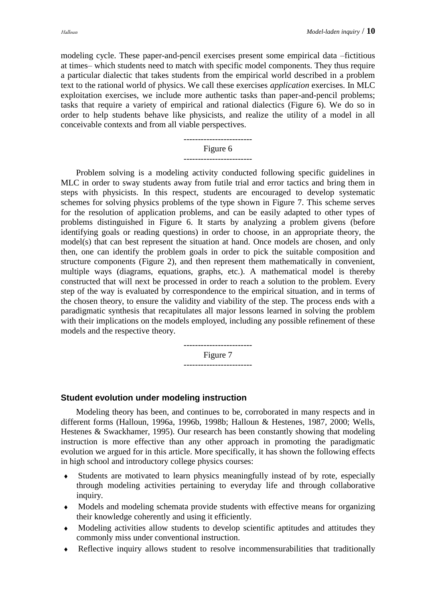modeling cycle. These paper-and-pencil exercises present some empirical data –fictitious at times– which students need to match with specific model components. They thus require a particular dialectic that takes students from the empirical world described in a problem text to the rational world of physics. We call these exercises *application* exercises. In MLC exploitation exercises, we include more authentic tasks than paper-and-pencil problems; tasks that require a variety of empirical and rational dialectics (Figure 6). We do so in order to help students behave like physicists, and realize the utility of a model in all conceivable contexts and from all viable perspectives.

> ------------------------ Figure 6 ------------------------

Problem solving is a modeling activity conducted following specific guidelines in MLC in order to sway students away from futile trial and error tactics and bring them in steps with physicists. In this respect, students are encouraged to develop systematic schemes for solving physics problems of the type shown in Figure 7. This scheme serves for the resolution of application problems, and can be easily adapted to other types of problems distinguished in Figure 6. It starts by analyzing a problem givens (before identifying goals or reading questions) in order to choose, in an appropriate theory, the model(s) that can best represent the situation at hand. Once models are chosen, and only then, one can identify the problem goals in order to pick the suitable composition and structure components (Figure 2), and then represent them mathematically in convenient, multiple ways (diagrams, equations, graphs, etc.). A mathematical model is thereby constructed that will next be processed in order to reach a solution to the problem. Every step of the way is evaluated by correspondence to the empirical situation, and in terms of the chosen theory, to ensure the validity and viability of the step. The process ends with a paradigmatic synthesis that recapitulates all major lessons learned in solving the problem with their implications on the models employed, including any possible refinement of these models and the respective theory.

> ------------------------ Figure 7 ------------------------

#### **Student evolution under modeling instruction**

Modeling theory has been, and continues to be, corroborated in many respects and in different forms (Halloun, 1996a, 1996b, 1998b; Halloun & Hestenes, 1987, 2000; Wells, Hestenes & Swackhamer, 1995). Our research has been constantly showing that modeling instruction is more effective than any other approach in promoting the paradigmatic evolution we argued for in this article. More specifically, it has shown the following effects in high school and introductory college physics courses:

- Students are motivated to learn physics meaningfully instead of by rote, especially through modeling activities pertaining to everyday life and through collaborative inquiry.
- Models and modeling schemata provide students with effective means for organizing their knowledge coherently and using it efficiently.
- Modeling activities allow students to develop scientific aptitudes and attitudes they commonly miss under conventional instruction.
- Reflective inquiry allows student to resolve incommensurabilities that traditionally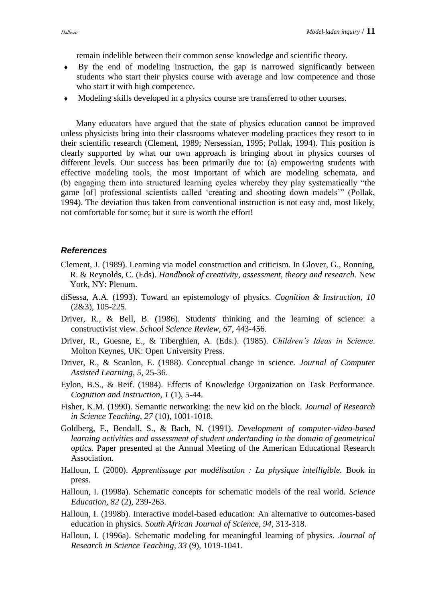remain indelible between their common sense knowledge and scientific theory.

- By the end of modeling instruction, the gap is narrowed significantly between students who start their physics course with average and low competence and those who start it with high competence.
- Modeling skills developed in a physics course are transferred to other courses.

Many educators have argued that the state of physics education cannot be improved unless physicists bring into their classrooms whatever modeling practices they resort to in their scientific research (Clement, 1989; Nersessian, 1995; Pollak, 1994). This position is clearly supported by what our own approach is bringing about in physics courses of different levels. Our success has been primarily due to: (a) empowering students with effective modeling tools, the most important of which are modeling schemata, and (b) engaging them into structured learning cycles whereby they play systematically "the game [of] professional scientists called 'creating and shooting down models'" (Pollak, 1994). The deviation thus taken from conventional instruction is not easy and, most likely, not comfortable for some; but it sure is worth the effort!

#### *References*

- Clement, J. (1989). Learning via model construction and criticism. In Glover, G., Ronning, R. & Reynolds, C. (Eds). *Handbook of creativity, assessment, theory and research.* New York, NY: Plenum.
- diSessa, A.A. (1993). Toward an epistemology of physics. *Cognition & Instruction, 10*  (2&3), 105-225.
- Driver, R., & Bell, B. (1986). Students' thinking and the learning of science: a constructivist view. *School Science Review, 67*, 443-456.
- Driver, R., Guesne, E., & Tiberghien, A. (Eds.). (1985). *Children's Ideas in Science*. Molton Keynes, UK: Open University Press.
- Driver, R., & Scanlon, E. (1988). Conceptual change in science. *Journal of Computer Assisted Learning, 5*, 25-36.
- Eylon, B.S., & Reif. (1984). Effects of Knowledge Organization on Task Performance. *Cognition and Instruction, 1* (1), 5-44.
- Fisher, K.M. (1990). Semantic networking: the new kid on the block. *Journal of Research in Science Teaching, 27* (10), 1001-1018.
- Goldberg, F., Bendall, S., & Bach, N. (1991). *Development of computer-video-based learning activities and assessment of student undertanding in the domain of geometrical optics.* Paper presented at the Annual Meeting of the American Educational Research Association.
- Halloun, I. (2000). *Apprentissage par modélisation : La physique intelligible.* Book in press.
- Halloun, I. (1998a). Schematic concepts for schematic models of the real world. *Science Education, 82* (2), 239-263.
- Halloun, I. (1998b). Interactive model-based education: An alternative to outcomes-based education in physics. *South African Journal of Science, 94,* 313-318.
- Halloun, I. (1996a). Schematic modeling for meaningful learning of physics. *Journal of Research in Science Teaching, 33* (9), 1019-1041.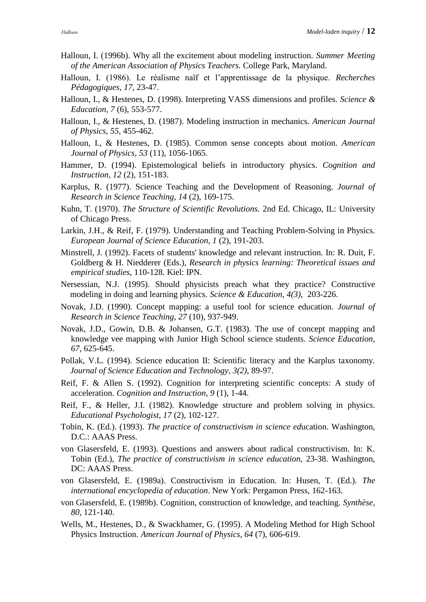- Halloun, I. (1996b). Why all the excitement about modeling instruction. *Summer Meeting of the American Association of Physics Teachers.* College Park, Maryland.
- Halloun, I. (1986). Le réalisme naïf et l'apprentissage de la physique. *Recherches Pédagogiques, 17,* 23-47.
- Halloun, I., & Hestenes, D. (1998). Interpreting VASS dimensions and profiles. *Science & Education, 7* (6), 553-577.
- Halloun, I., & Hestenes, D. (1987). Modeling instruction in mechanics. *American Journal of Physics, 55,* 455-462.
- Halloun, I., & Hestenes, D. (1985). Common sense concepts about motion. *American Journal of Physics, 53* (11)*,* 1056-1065.
- Hammer, D. (1994). Epistemological beliefs in introductory physics. *Cognition and Instruction, 12* (2), 151-183.
- Karplus, R. (1977). Science Teaching and the Development of Reasoning. *Journal of Research in Science Teaching, 14* (2), 169-175.
- Kuhn, T. (1970). *The Structure of Scientific Revolutions.* 2nd Ed. Chicago, IL: University of Chicago Press.
- Larkin, J.H., & Reif, F. (1979). Understanding and Teaching Problem-Solving in Physics. *European Journal of Science Education, 1* (2), 191-203.
- Minstrell, J. (1992). Facets of students' knowledge and relevant instruction. In: R. Duit, F. Goldberg & H. Niedderer (Eds.), *Research in physics learning: Theoretical issues and empirical studies*, 110-128. Kiel: IPN.
- Nersessian, N.J. (1995). Should physicists preach what they practice? Constructive modeling in doing and learning physics. *Science & Education, 4(3),* 203-226.
- Novak, J.D. (1990). Concept mapping: a useful tool for science education. *Journal of Research in Science Teaching, 27* (10), 937-949.
- Novak, J.D., Gowin, D.B. & Johansen, G.T. (1983). The use of concept mapping and knowledge vee mapping with Junior High School science students. *Science Education, 67*, 625-645.
- Pollak, V.L. (1994). Science education II: Scientific literacy and the Karplus taxonomy. *Journal of Science Education and Technology, 3(2)*, 89-97.
- Reif, F. & Allen S. (1992). Cognition for interpreting scientific concepts: A study of acceleration. *Cognition and Instruction, 9* (1), 1-44.
- Reif, F., & Heller, J.I. (1982). Knowledge structure and problem solving in physics. *Educational Psychologist, 17* (2), 102-127.
- Tobin, K. (Ed.). (1993). *The practice of constructivism in science ed*ucation. Washington, D.C.: AAAS Press.
- von Glasersfeld, E. (1993). Questions and answers about radical constructivism. In: K. Tobin (Ed.), *The practice of constructivism in science education,* 23-38. Washington, DC: AAAS Press.
- von Glasersfeld, E. (1989a). Constructivism in Education. In: Husen, T. (Ed.). *The international encyclopedia of education*. New York: Pergamon Press, 162-163.
- von Glasersfeld, E. (1989b). Cognition, construction of knowledge, and teaching. *Synthèse, 80*, 121-140.
- Wells, M., Hestenes, D., & Swackhamer, G. (1995). A Modeling Method for High School Physics Instruction. *American Journal of Physics, 64* (7), 606-619.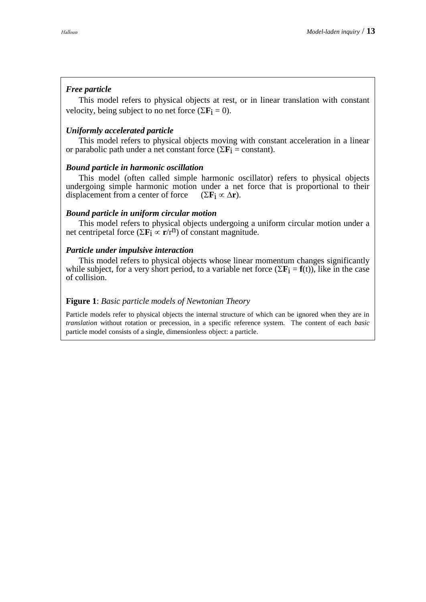### *Free particle*

This model refers to physical objects at rest, or in linear translation with constant velocity, being subject to no net force  $(\Sigma \mathbf{F}_i = 0)$ .

## *Uniformly accelerated particle*

This model refers to physical objects moving with constant acceleration in a linear or parabolic path under a net constant force ( $\Sigma$ **F**<sub>i</sub> = constant).

#### *Bound particle in harmonic oscillation*

This model (often called simple harmonic oscillator) refers to physical objects undergoing simple harmonic motion under a net force that is proportional to their displacement from a center of force  $(\Sigma \mathbf{F}_i \propto \Delta \mathbf{r})$ .

#### *Bound particle in uniform circular motion*

This model refers to physical objects undergoing a uniform circular motion under a net centripetal force  $(\Sigma \mathbf{F}_1 \propto \mathbf{r}/r^n)$  of constant magnitude.

#### *Particle under impulsive interaction*

This model refers to physical objects whose linear momentum changes significantly while subject, for a very short period, to a variable net force  $(\Sigma \mathbf{F}_i = \mathbf{f}(t))$ , like in the case of collision.

#### **Figure 1**: *Basic particle models of Newtonian Theory*

Particle models refer to physical objects the internal structure of which can be ignored when they are in *translation* without rotation or precession, in a specific reference system. The content of each *basic* particle model consists of a single, dimensionless object: a particle.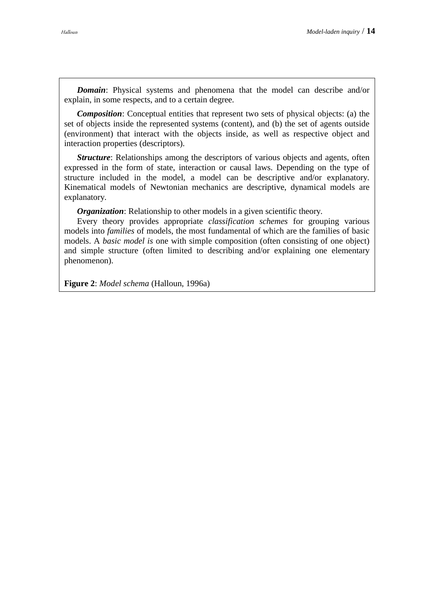*Domain*: Physical systems and phenomena that the model can describe and/or explain, in some respects, and to a certain degree*.*

*Composition*: Conceptual entities that represent two sets of physical objects: (a) the set of objects inside the represented systems (content), and (b) the set of agents outside (environment) that interact with the objects inside, as well as respective object and interaction properties (descriptors).

*Structure*: Relationships among the descriptors of various objects and agents, often expressed in the form of state, interaction or causal laws. Depending on the type of structure included in the model, a model can be descriptive and/or explanatory. Kinematical models of Newtonian mechanics are descriptive, dynamical models are explanatory.

*Organization*: Relationship to other models in a given scientific theory.

Every theory provides appropriate *classification schemes* for grouping various models into *families* of models, the most fundamental of which are the families of basic models. A *basic model is* one with simple composition (often consisting of one object) and simple structure (often limited to describing and/or explaining one elementary phenomenon).

**Figure 2**: *Model schema* (Halloun, 1996a)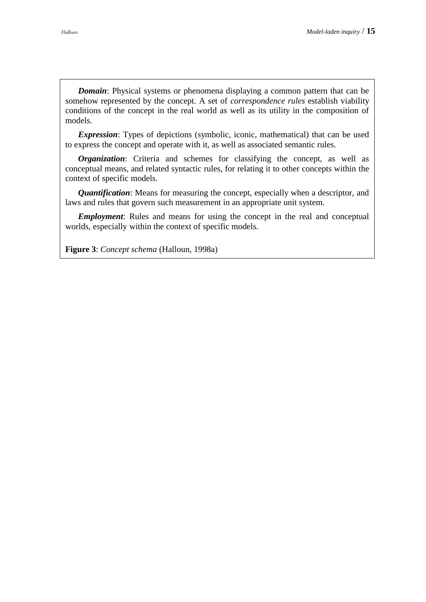*Domain*: Physical systems or phenomena displaying a common pattern that can be somehow represented by the concept*.* A set of *correspondence rules* establish viability conditions of the concept in the real world as well as its utility in the composition of models.

*Expression*: Types of depictions (symbolic, iconic, mathematical) that can be used to express the concept and operate with it, as well as associated semantic rules.

*Organization*: Criteria and schemes for classifying the concept, as well as conceptual means, and related syntactic rules, for relating it to other concepts within the context of specific models.

*Quantification*: Means for measuring the concept, especially when a descriptor, and laws and rules that govern such measurement in an appropriate unit system.

*Employment*: Rules and means for using the concept in the real and conceptual worlds, especially within the context of specific models.

**Figure 3**: *Concept schema* (Halloun, 1998a)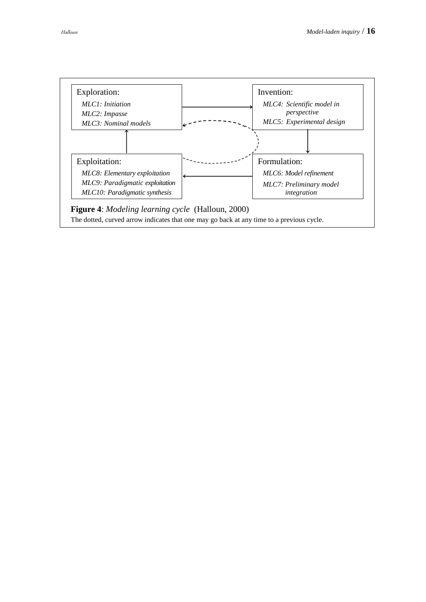

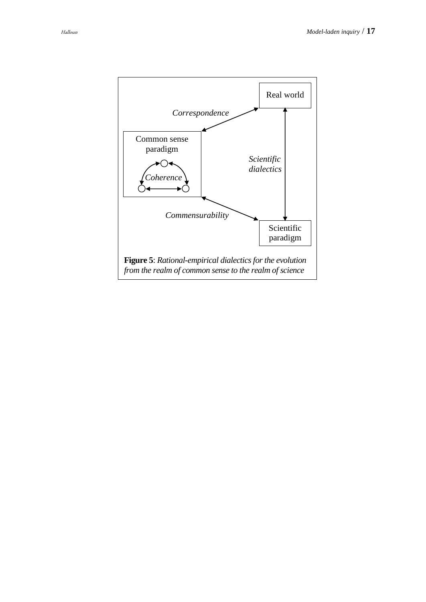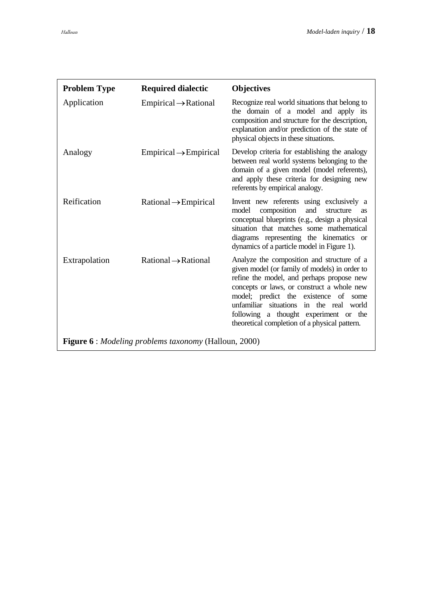| <b>Problem Type</b>                                          | <b>Required dialectic</b>         | <b>Objectives</b>                                                                                                                                                                                                                                                                                                                                                   |
|--------------------------------------------------------------|-----------------------------------|---------------------------------------------------------------------------------------------------------------------------------------------------------------------------------------------------------------------------------------------------------------------------------------------------------------------------------------------------------------------|
| Application                                                  | $Empirical \rightarrow Rational$  | Recognize real world situations that belong to<br>the domain of a model and apply its<br>composition and structure for the description,<br>explanation and/or prediction of the state of<br>physical objects in these situations.                                                                                                                                   |
| Analogy                                                      | $Empirical \rightarrow Empirical$ | Develop criteria for establishing the analogy<br>between real world systems belonging to the<br>domain of a given model (model referents),<br>and apply these criteria for designing new<br>referents by empirical analogy.                                                                                                                                         |
| Reification                                                  | $Rational \rightarrow Empirical$  | Invent new referents using exclusively a<br>model<br>composition<br>and<br>structure<br><b>as</b><br>conceptual blueprints (e.g., design a physical<br>situation that matches some mathematical<br>diagrams representing the kinematics or<br>dynamics of a particle model in Figure 1).                                                                            |
| Extrapolation                                                | $Rational \rightarrow Rational$   | Analyze the composition and structure of a<br>given model (or family of models) in order to<br>refine the model, and perhaps propose new<br>concepts or laws, or construct a whole new<br>model; predict the existence of some<br>unfamiliar situations in the real world<br>following a thought experiment or the<br>theoretical completion of a physical pattern. |
| <b>Figure 6</b> : Modeling problems taxonomy (Halloun, 2000) |                                   |                                                                                                                                                                                                                                                                                                                                                                     |